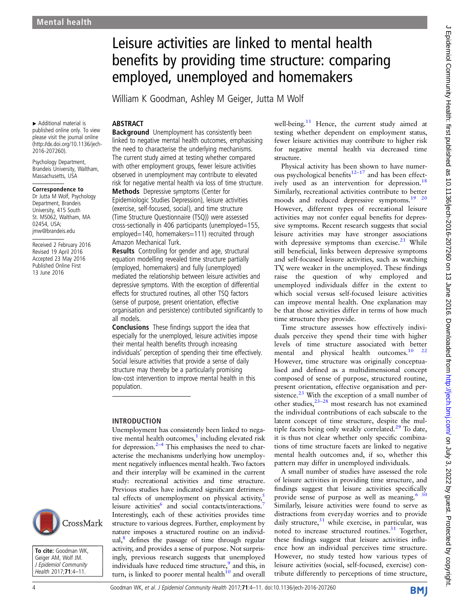#### ▸ Additional material is published online only. To view please visit the journal online [\(http://dx.doi.org/10.1136/jech-](http://dx.doi.org/10.1136/jech-2016-207260)[2016-207260\)](http://dx.doi.org/10.1136/jech-2016-207260).

Psychology Department, Brandeis University, Waltham, Massachusetts, USA

### Correspondence to

Dr Jutta M Wolf, Psychology Department, Brandeis University, 415 South St. MS062, Waltham, MA 02454, USA; jmw@brandeis.edu

Received 2 February 2016 Revised 19 April 2016 Accepted 23 May 2016 Published Online First 13 June 2016



To cite: Goodman WK, Geiger AM, Wolf JM. J Epidemiol Community Health 2017;71:4-11.

Leisure activities are linked to mental health benefits by providing time structure: comparing employed, unemployed and homemakers

William K Goodman, Ashley M Geiger, Jutta M Wolf

# **ARSTRACT**

**Background** Unemployment has consistently been linked to negative mental health outcomes, emphasising the need to characterise the underlying mechanisms. The current study aimed at testing whether compared with other employment groups, fewer leisure activities observed in unemployment may contribute to elevated risk for negative mental health via loss of time structure.

Methods Depressive symptoms (Center for Epidemiologic Studies Depression), leisure activities (exercise, self-focused, social), and time structure (Time Structure Questionnaire (TSQ)) were assessed cross-sectionally in 406 participants (unemployed=155, employed=140, homemakers=111) recruited through Amazon Mechanical Turk.

Results Controlling for gender and age, structural equation modelling revealed time structure partially (employed, homemakers) and fully (unemployed) mediated the relationship between leisure activities and depressive symptoms. With the exception of differential effects for structured routines, all other TSQ factors (sense of purpose, present orientation, effective organisation and persistence) contributed significantly to all models.

Conclusions These findings support the idea that especially for the unemployed, leisure activities impose their mental health benefits through increasing individuals' perception of spending their time effectively. Social leisure activities that provide a sense of daily structure may thereby be a particularly promising low-cost intervention to improve mental health in this population.

### INTRODUCTION

Unemployment has consistently been linked to negative mental health outcomes,<sup>1</sup> including elevated risk for depression. $2-4$  This emphasises the need to characterise the mechanisms underlying how unemployment negatively influences mental health. Two factors and their interplay will be examined in the current study: recreational activities and time structure. Previous studies have indicated significant detrimental effects of unemployment on physical activity, leisure activities $\frac{1}{2}$  and social contacts/interactions.<sup>[7](#page-6-0)</sup> Interestingly, each of these activities provides time structure to various degrees. Further, employment by nature imposes a structured routine on an individual, $\delta$  defines the passage of time through regular activity, and provides a sense of purpose. Not surprisingly, previous research suggests that unemployed individuals have reduced time structure,<sup>[9](#page-6-0)</sup> and this, in turn, is linked to poorer mental health $10$  and overall

well-being.<sup>[11](#page-6-0)</sup> Hence, the current study aimed at testing whether dependent on employment status, fewer leisure activities may contribute to higher risk for negative mental health via decreased time structure.

Physical activity has been shown to have numer-ous psychological benefits<sup>12–[17](#page-6-0)</sup> and has been effect-ively used as an intervention for depression.<sup>[18](#page-6-0)</sup> Similarly, recreational activities contribute to better moods and reduced depressive symptoms.[19 20](#page-6-0) However, different types of recreational leisure activities may not confer equal benefits for depressive symptoms. Recent research suggests that social leisure activities may have stronger associations with depressive symptoms than exercise. $21$  While still beneficial, links between depressive symptoms and self-focused leisure activities, such as watching TV, were weaker in the unemployed. These findings raise the question of why employed and unemployed individuals differ in the extent to which social versus self-focused leisure activities can improve mental health. One explanation may be that those activities differ in terms of how much time structure they provide.

Time structure assesses how effectively individuals perceive they spend their time with higher levels of time structure associated with better mental and physical health outcomes.<sup>10</sup> <sup>22</sup> However, time structure was originally conceptualised and defined as a multidimensional concept composed of sense of purpose, structured routine, present orientation, effective organisation and per-sistence.<sup>[23](#page-6-0)</sup> With the exception of a small number of other studies, $23-28$  $23-28$  most research has not examined the individual contributions of each subscale to the latent concept of time structure, despite the multiple facets being only weakly correlated.<sup>29</sup> To date, it is thus not clear whether only specific combinations of time structure facets are linked to negative mental health outcomes and, if so, whether this pattern may differ in unemployed individuals.

A small number of studies have assessed the role of leisure activities in providing time structure, and findings suggest that leisure activities specifically provide sense of purpose as well as meaning. $630$ Similarly, leisure activities were found to serve as distractions from everyday worries and to provide daily structure, $31$  while exercise, in particular, was noted to increase structured routines.<sup>[31](#page-6-0)</sup> Together, these findings suggest that leisure activities influence how an individual perceives time structure. However, no study tested how various types of leisure activities (social, self-focused, exercise) contribute differently to perceptions of time structure,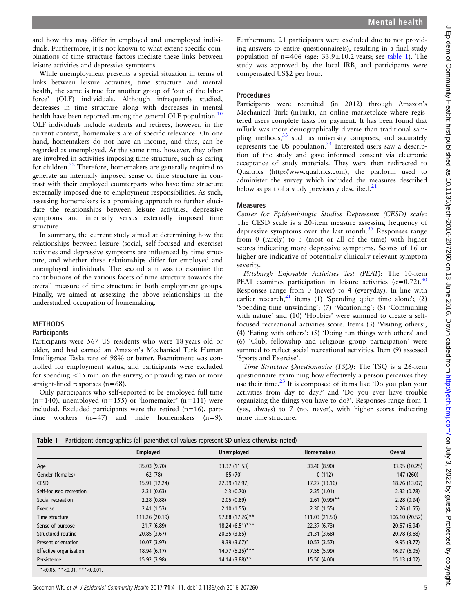and how this may differ in employed and unemployed individuals. Furthermore, it is not known to what extent specific combinations of time structure factors mediate these links between leisure activities and depressive symptoms.

While unemployment presents a special situation in terms of links between leisure activities, time structure and mental health, the same is true for another group of 'out of the labor force' (OLF) individuals. Although infrequently studied, decreases in time structure along with decreases in mental health have been reported among the general OLF population.<sup>[10](#page-6-0)</sup> OLF individuals include students and retirees, however, in the current context, homemakers are of specific relevance. On one hand, homemakers do not have an income, and thus, can be regarded as unemployed. At the same time, however, they often are involved in activities imposing time structure, such as caring for children.<sup>[32](#page-6-0)</sup> Therefore, homemakers are generally required to generate an internally imposed sense of time structure in contrast with their employed counterparts who have time structure externally imposed due to employment responsibilities. As such, assessing homemakers is a promising approach to further elucidate the relationships between leisure activities, depressive symptoms and internally versus externally imposed time structure.

In summary, the current study aimed at determining how the relationships between leisure (social, self-focused and exercise) activities and depressive symptoms are influenced by time structure, and whether these relationships differ for employed and unemployed individuals. The second aim was to examine the contributions of the various facets of time structure towards the overall measure of time structure in both employment groups. Finally, we aimed at assessing the above relationships in the understudied occupation of homemaking.

## METHODS

## **Participants**

Participants were 567 US residents who were 18 years old or older, and had earned an Amazon's Mechanical Turk Human Intelligence Tasks rate of 98% or better. Recruitment was controlled for employment status, and participants were excluded for spending <15 min on the survey, or providing two or more straight-lined responses (n=68).

Only participants who self-reported to be employed full time  $(n=140)$ , unemployed  $(n=155)$  or 'homemaker'  $(n=111)$  were included. Excluded participants were the retired  $(n=16)$ , parttime workers (n=47) and male homemakers (n=9).

Furthermore, 21 participants were excluded due to not providing answers to entire questionnaire(s), resulting in a final study population of  $n=406$  (age:  $33.9\pm10.2$  years; see table 1). The study was approved by the local IRB, and participants were compensated US\$2 per hour.

# Procedures

Participants were recruited (in 2012) through Amazon's Mechanical Turk (mTurk), an online marketplace where registered users complete tasks for payment. It has been found that mTurk was more demographically diverse than traditional sampling methods, $33$  such as university campuses, and accurately represents the US population.<sup>[34](#page-6-0)</sup> Interested users saw a description of the study and gave informed consent via electronic acceptance of study materials. They were then redirected to Qualtrics ([http://www.qualtrics.com\)](http://www.qualtrics.com), the platform used to administer the survey which included the measures described below as part of a study previously described.<sup>[21](#page-6-0)</sup>

# Measures

Center for Epidemiologic Studies Depression (CESD) scale: The CESD scale is a 20-item measure assessing frequency of depressive symptoms over the last month.<sup>[35](#page-6-0)</sup> Responses range from 0 (rarely) to 3 (most or all of the time) with higher scores indicating more depressive symptoms. Scores of 16 or higher are indicative of potentially clinically relevant symptom severity.

Pittsburgh Enjoyable Activities Test (PEAT): The 10-item PEAT examines participation in leisure activities  $(\alpha=0.72)$ .<sup>[30](#page-6-0)</sup> Responses range from 0 (never) to 4 (everyday). In line with earlier research, $21$  items (1) 'Spending quiet time alone'; (2) 'Spending time unwinding'; (7) 'Vacationing'; (8) 'Communing with nature' and (10) 'Hobbies' were summed to create a selffocused recreational activities score. Items (3) 'Visiting others'; (4) 'Eating with others'; (5) 'Doing fun things with others' and (6) 'Club, fellowship and religious group participation' were summed to reflect social recreational activities. Item (9) assessed 'Sports and Exercise'.

Time Structure Questionnaire (TSQ): The TSQ is a 26-item questionnaire examining how effectively a person perceives they use their time. $23$  It is composed of items like 'Do you plan your activities from day to day?' and 'Do you ever have trouble organizing the things you have to do?'. Responses range from 1 (yes, always) to 7 (no, never), with higher scores indicating more time structure.

|                               | <b>Employed</b> | <b>Unemployed</b> | <b>Homemakers</b> | Overall        |
|-------------------------------|-----------------|-------------------|-------------------|----------------|
| Age                           | 35.03 (9.70)    | 33.37 (11.53)     | 33.40 (8.90)      | 33.95 (10.25)  |
| Gender (females)              | 62 (78)         | 85 (70)           | 0(112)            | 147 (260)      |
| <b>CESD</b>                   | 15.91 (12.24)   | 22.39 (12.97)     | 17.27 (13.16)     | 18.76 (13.07)  |
| Self-focused recreation       | 2.31(0.63)      | 2.3(0.70)         | 2.35(1.01)        | 2.32(0.78)     |
| Social recreation             | 2.28(0.88)      | 2.05(0.89)        | $2.61(0.99)$ **   | 2.28(0.94)     |
| Exercise                      | 2.41(1.53)      | 2.10(1.55)        | 2.30(1.55)        | 2.26(1.55)     |
| Time structure                | 111.26 (20.19)  | 97.88 (17.26)**   | 111.03 (21.53)    | 106.10 (20.52) |
| Sense of purpose              | 21.7(6.89)      | $18.24(6.51)***$  | 22.37 (6.73)      | 20.57 (6.94)   |
| Structured routine            | 20.85(3.67)     | 20.35(3.65)       | 21.31 (3.68)      | 20.78 (3.68)   |
| Present orientation           | 10.07(3.97)     | $9.39(3.67)^*$    | 10.57(3.57)       | 9.95(3.77)     |
| <b>Effective organisation</b> | 18.94 (6.17)    | $14.77(5.25)***$  | 17.55 (5.99)      | 16.97(6.05)    |
| Persistence                   | 15.92 (3.98)    | $14.14(3.88)$ **  | 15.50 (4.00)      | 15.13 (4.02)   |

\*<0.05, \*\*<0.01, \*\*\*<0.001.

Goodman WK, et al. J Epidemiol Community Health 2017;71:4-11. doi:10.1136/jech-2016-207260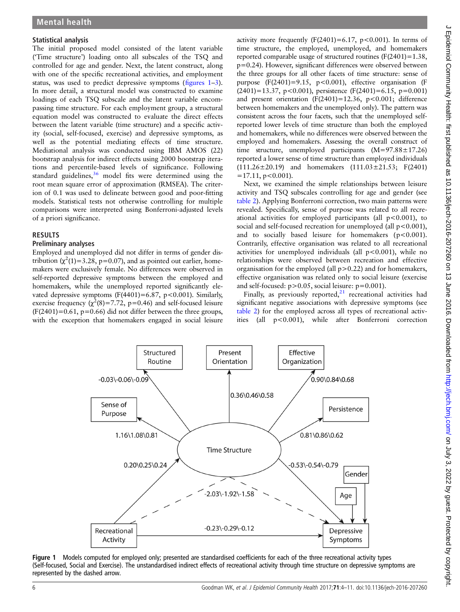# <span id="page-2-0"></span>Statistical analysis

The initial proposed model consisted of the latent variable ('Time structure') loading onto all subscales of the TSQ and controlled for age and gender. Next, the latent construct, along with one of the specific recreational activities, and employment status, was used to predict depressive symptoms (figures 1–[3](#page-3-0)). In more detail, a structural model was constructed to examine loadings of each TSQ subscale and the latent variable encompassing time structure. For each employment group, a structural equation model was constructed to evaluate the direct effects between the latent variable (time structure) and a specific activity (social, self-focused, exercise) and depressive symptoms, as well as the potential mediating effects of time structure. Mediational analysis was conducted using IBM AMOS (22) bootstrap analysis for indirect effects using 2000 bootstrap iterations and percentile-based levels of significance. Following standard guidelines,<sup>36</sup> model fits were determined using the root mean square error of approximation (RMSEA). The criterion of 0.1 was used to delineate between good and poor-fitting models. Statistical tests not otherwise controlling for multiple comparisons were interpreted using Bonferroni-adjusted levels of a priori significance.

# RESULTS

# Preliminary analyses

Employed and unemployed did not differ in terms of gender distribution  $(\chi^2(1)=3.28, p=0.07)$ , and as pointed out earlier, homemakers were exclusively female. No differences were observed in self-reported depressive symptoms between the employed and homemakers, while the unemployed reported significantly elevated depressive symptoms  $(F(4401)=6.87, p<0.001)$ . Similarly, exercise frequency  $(\chi^2(8)=7.72, p=0.46)$  and self-focused leisure  $(F(2401)=0.61, p=0.66)$  did not differ between the three groups, with the exception that homemakers engaged in social leisure

activity more frequently  $(F(2401)=6.17, p<0.001)$ . In terms of time structure, the employed, unemployed, and homemakers reported comparable usage of structured routines (F(2401)=1.38, p=0.24). However, significant differences were observed between the three groups for all other facets of time structure: sense of purpose  $(F(2401)=9.15, p<0.001)$ , effective organisation (F  $(2401)=13.37$ , p<0.001), persistence (F(2401)=6.15, p=0.001) and present orientation  $(F(2401)=12.36, p<0.001;$  difference between homemakers and the unemployed only). The pattern was consistent across the four facets, such that the unemployed selfreported lower levels of time structure than both the employed and homemakers, while no differences were observed between the employed and homemakers. Assessing the overall construct of time structure, unemployed participants (M=97.88±17.26) reported a lower sense of time structure than employed individuals (111.26±20.19) and homemakers (111.03±21.53; F(2401)  $=17.11$ , p $< 0.001$ ).

Next, we examined the simple relationships between leisure activity and TSQ subscales controlling for age and gender (see [table 2](#page-4-0)). Applying Bonferroni correction, two main patterns were revealed. Specifically, sense of purpose was related to all recreational activities for employed participants (all  $p < 0.001$ ), to social and self-focused recreation for unemployed (all  $p < 0.001$ ), and to socially based leisure for homemakers  $(p<0.001)$ . Contrarily, effective organisation was related to all recreational activities for unemployed individuals (all  $p < 0.001$ ), while no relationships were observed between recreation and effective organisation for the employed (all  $p > 0.22$ ) and for homemakers, effective organisation was related only to social leisure (exercise and self-focused:  $p > 0.05$ , social leisure:  $p = 0.001$ ).

Finally, as previously reported, $21$  recreational activities had significant negative associations with depressive symptoms (see [table 2](#page-4-0)) for the employed across all types of recreational activities (all p<0.001), while after Bonferroni correction



Figure 1 Models computed for employed only; presented are standardised coefficients for each of the three recreational activity types (Self-focused, Social and Exercise). The unstandardised indirect effects of recreational activity through time structure on depressive symptoms are represented by the dashed arrow.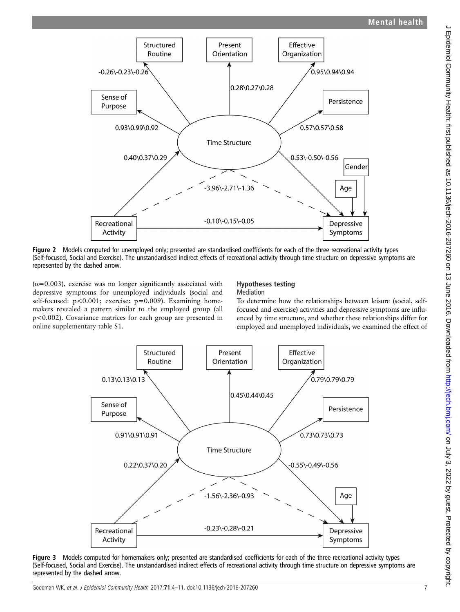<span id="page-3-0"></span>

Figure 2 Models computed for unemployed only; presented are standardised coefficients for each of the three recreational activity types (Self-focused, Social and Exercise). The unstandardised indirect effects of recreational activity through time structure on depressive symptoms are represented by the dashed arrow.

 $(\alpha=0.003)$ , exercise was no longer significantly associated with depressive symptoms for unemployed individuals (social and self-focused: p<0.001; exercise: p=0.009). Examining homemakers revealed a pattern similar to the employed group (all p<0.002). Covariance matrices for each group are presented in online supplementary table S1.

#### Hypotheses testing **Mediation**

To determine how the relationships between leisure (social, selffocused and exercise) activities and depressive symptoms are influenced by time structure, and whether these relationships differ for employed and unemployed individuals, we examined the effect of



Figure 3 Models computed for homemakers only; presented are standardised coefficients for each of the three recreational activity types (Self-focused, Social and Exercise). The unstandardised indirect effects of recreational activity through time structure on depressive symptoms are represented by the dashed arrow.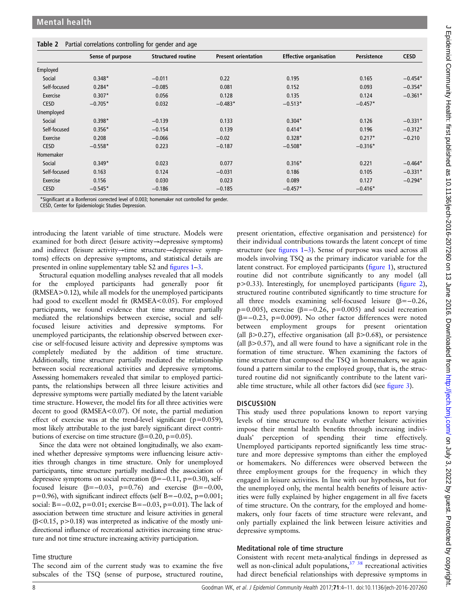<span id="page-4-0"></span>

|              | Sense of purpose | <b>Structured routine</b> | <b>Present orientation</b> | <b>Effective organisation</b> | Persistence | <b>CESD</b> |
|--------------|------------------|---------------------------|----------------------------|-------------------------------|-------------|-------------|
| Employed     |                  |                           |                            |                               |             |             |
| Social       | $0.348*$         | $-0.011$                  | 0.22                       | 0.195                         | 0.165       | $-0.454*$   |
| Self-focused | $0.284*$         | $-0.085$                  | 0.081                      | 0.152                         | 0.093       | $-0.354*$   |
| Exercise     | $0.307*$         | 0.056                     | 0.128                      | 0.135                         | 0.124       | $-0.361*$   |
| <b>CESD</b>  | $-0.705*$        | 0.032                     | $-0.483*$                  | $-0.513*$                     | $-0.457*$   |             |
| Unemployed   |                  |                           |                            |                               |             |             |
| Social       | $0.398*$         | $-0.139$                  | 0.133                      | $0.304*$                      | 0.126       | $-0.331*$   |
| Self-focused | $0.356*$         | $-0.154$                  | 0.139                      | $0.414*$                      | 0.196       | $-0.312*$   |
| Exercise     | 0.208            | $-0.066$                  | $-0.02$                    | $0.328*$                      | $0.217*$    | $-0.210$    |
| <b>CESD</b>  | $-0.558*$        | 0.223                     | $-0.187$                   | $-0.508*$                     | $-0.316*$   |             |
| Homemaker    |                  |                           |                            |                               |             |             |
| Social       | $0.349*$         | 0.023                     | 0.077                      | $0.316*$                      | 0.221       | $-0.464*$   |
| Self-focused | 0.163            | 0.124                     | $-0.031$                   | 0.186                         | 0.105       | $-0.331*$   |
| Exercise     | 0.156            | 0.030                     | 0.023                      | 0.089                         | 0.127       | $-0.294*$   |
| <b>CESD</b>  | $-0.545*$        | $-0.186$                  | $-0.185$                   | $-0.457*$                     | $-0.416*$   |             |

\*Significant at a Bonferroni corrected level of 0.003; homemaker not controlled for gender.

CESD, Center for Epidemiologic Studies Depression.

introducing the latent variable of time structure. Models were examined for both direct (leisure activity→depressive symptoms) and indirect (leisure activity→time structure→depressive symptoms) effects on depressive symptoms, and statistical details are presented in online supplementary table S2 and fi[gures 1](#page-2-0)–[3.](#page-3-0)

Structural equation modelling analyses revealed that all models for the employed participants had generally poor fit (RMSEA>0.12), while all models for the unemployed participants had good to excellent model fit (RMSEA<0.05). For employed participants, we found evidence that time structure partially mediated the relationships between exercise, social and selffocused leisure activities and depressive symptoms. For unemployed participants, the relationship observed between exercise or self-focused leisure activity and depressive symptoms was completely mediated by the addition of time structure. Additionally, time structure partially mediated the relationship between social recreational activities and depressive symptoms. Assessing homemakers revealed that similar to employed participants, the relationships between all three leisure activities and depressive symptoms were partially mediated by the latent variable time structure. However, the model fits for all three activities were decent to good (RMSEA<0.07). Of note, the partial mediation effect of exercise was at the trend-level significant ( $p=0.059$ ), most likely attributable to the just barely significant direct contributions of exercise on time structure ( $\beta$ =0.20, p=0.05).

Since the data were not obtained longitudinally, we also examined whether depressive symptoms were influencing leisure activities through changes in time structure. Only for unemployed participants, time structure partially mediated the association of depressive symptoms on social recreation ( $\beta$ =−0.11, p=0.30), selffocused leisure ( $\beta = -0.03$ ,  $p = 0.76$ ) and exercise ( $\beta = -0.00$ ), p=0.96), with significant indirect effects (self B=−0.02, p=0.001; social: B=−0.02, p=0.01; exercise B=−0.03, p=0.01). The lack of association between time structure and leisure activities in general ( $\beta$ <0.15, p>0.18) was interpreted as indicative of the mostly unidirectional influence of recreational activities increasing time structure and not time structure increasing activity participation.

### Time structure

The second aim of the current study was to examine the five subscales of the TSQ (sense of purpose, structured routine,

present orientation, effective organisation and persistence) for their individual contributions towards the latent concept of time structure (see fi[gures 1](#page-2-0)–[3](#page-3-0)). Sense of purpose was used across all models involving TSQ as the primary indicator variable for the latent construct. For employed participants (fi[gure 1\)](#page-2-0), structured routine did not contribute significantly to any model (all p>0.33). Interestingly, for unemployed participants (fi[gure 2\)](#page-3-0), structured routine contributed significantly to time structure for all three models examining self-focused leisure (β=−0.26, p=0.005), exercise ( $\beta$ =-0.26, p=0.005) and social recreation (β=−0.23, p=0.009). No other factor differences were noted between employment groups for present orientation (all  $\beta$ >0.27), effective organisation (all  $\beta$ >0.68), or persistence (all  $\beta$ >0.57), and all were found to have a significant role in the formation of time structure. When examining the factors of time structure that composed the TSQ in homemakers, we again found a pattern similar to the employed group, that is, the structured routine did not significantly contribute to the latent variable time structure, while all other factors did (see fi[gure 3\)](#page-3-0).

## **DISCUSSION**

This study used three populations known to report varying levels of time structure to evaluate whether leisure activities impose their mental health benefits through increasing individuals' perception of spending their time effectively. Unemployed participants reported significantly less time structure and more depressive symptoms than either the employed or homemakers. No differences were observed between the three employment groups for the frequency in which they engaged in leisure activities. In line with our hypothesis, but for the unemployed only, the mental health benefits of leisure activities were fully explained by higher engagement in all five facets of time structure. On the contrary, for the employed and homemakers, only four facets of time structure were relevant, and only partially explained the link between leisure activities and depressive symptoms.

## Meditational role of time structure

Consistent with recent meta-analytical findings in depressed as well as non-clinical adult populations, $37 \frac{38}{3}$  recreational activities had direct beneficial relationships with depressive symptoms in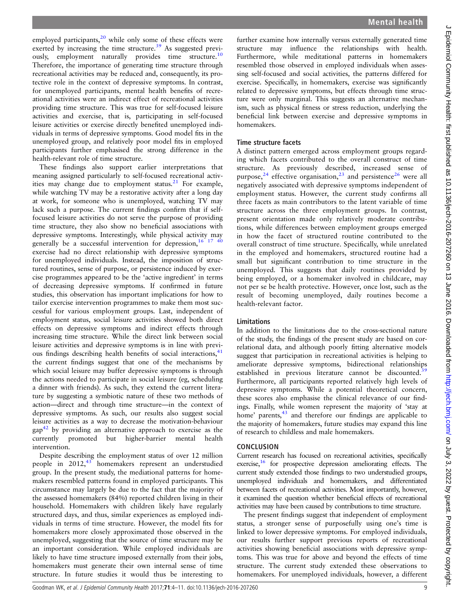employed participants, $^{20}$  $^{20}$  $^{20}$  while only some of these effects were exerted by increasing the time structure.<sup>[39](#page-7-0)</sup> As suggested previously, employment naturally provides time structure.<sup>10</sup> Therefore, the importance of generating time structure through recreational activities may be reduced and, consequently, its protective role in the context of depressive symptoms. In contrast, for unemployed participants, mental health benefits of recreational activities were an indirect effect of recreational activities providing time structure. This was true for self-focused leisure activities and exercise, that is, participating in self-focused leisure activities or exercise directly benefited unemployed individuals in terms of depressive symptoms. Good model fits in the unemployed group, and relatively poor model fits in employed participants further emphasised the strong difference in the health-relevant role of time structure.

These findings also support earlier interpretations that meaning assigned particularly to self-focused recreational activities may change due to employment status. $21$  For example, while watching TV may be a restorative activity after a long day at work, for someone who is unemployed, watching TV may lack such a purpose. The current findings confirm that if selffocused leisure activities do not serve the purpose of providing time structure, they also show no beneficial associations with depressive symptoms. Interestingly, while physical activity may generally be a successful intervention for depression,  $16$   $17$   $40$ exercise had no direct relationship with depressive symptoms for unemployed individuals. Instead, the imposition of structured routines, sense of purpose, or persistence induced by exercise programmes appeared to be the 'active ingredient' in terms of decreasing depressive symptoms. If confirmed in future studies, this observation has important implications for how to tailor exercise intervention programmes to make them most successful for various employment groups. Last, independent of employment status, social leisure activities showed both direct effects on depressive symptoms and indirect effects through increasing time structure. While the direct link between social leisure activities and depressive symptoms is in line with previous findings describing health benefits of social interactions,<sup>41</sup> the current findings suggest that one of the mechanisms by which social leisure may buffer depressive symptoms is through the actions needed to participate in social leisure (eg, scheduling a dinner with friends). As such, they extend the current literature by suggesting a symbiotic nature of these two methods of action—direct and through time structure—in the context of depressive symptoms. As such, our results also suggest social leisure activities as a way to decrease the motivation-behaviour  $\text{gap}^{42}$  $\text{gap}^{42}$  $\text{gap}^{42}$  by providing an alternative approach to exercise as the currently promoted but higher-barrier mental health intervention.

Despite describing the employment status of over 12 million people in  $2012<sub>1</sub><sup>43</sup>$  homemakers represent an understudied group. In the present study, the mediational patterns for homemakers resembled patterns found in employed participants. This circumstance may largely be due to the fact that the majority of the assessed homemakers (84%) reported children living in their household. Homemakers with children likely have regularly structured days, and thus, similar experiences as employed individuals in terms of time structure. However, the model fits for homemakers more closely approximated those observed in the unemployed, suggesting that the source of time structure may be an important consideration. While employed individuals are likely to have time structure imposed externally from their jobs, homemakers must generate their own internal sense of time structure. In future studies it would thus be interesting to

further examine how internally versus externally generated time structure may influence the relationships with health. Furthermore, while meditational patterns in homemakers resembled those observed in employed individuals when assessing self-focused and social activities, the patterns differed for exercise. Specifically, in homemakers, exercise was significantly related to depressive symptoms, but effects through time structure were only marginal. This suggests an alternative mechanism, such as physical fitness or stress reduction, underlying the beneficial link between exercise and depressive symptoms in homemakers.

# Time structure facets

A distinct pattern emerged across employment groups regarding which facets contributed to the overall construct of time structure. As previously described, increased sense of purpose,<sup>[24](#page-6-0)</sup> effective organisation,<sup>[23](#page-6-0)</sup> and persistence<sup>[26](#page-6-0)</sup> were all negatively associated with depressive symptoms independent of employment status. However, the current study confirms all three facets as main contributors to the latent variable of time structure across the three employment groups. In contrast, present orientation made only relatively moderate contributions, while differences between employment groups emerged in how the facet of structured routine contributed to the overall construct of time structure. Specifically, while unrelated in the employed and homemakers, structured routine had a small but significant contribution to time structure in the unemployed. This suggests that daily routines provided by being employed, or a homemaker involved in childcare, may not per se be health protective. However, once lost, such as the result of becoming unemployed, daily routines become a health-relevant factor.

# Limitations

In addition to the limitations due to the cross-sectional nature of the study, the findings of the present study are based on correlational data, and although poorly fitting alternative models suggest that participation in recreational activities is helping to ameliorate depressive symptoms, bidirectional relationships established in previous literature cannot be discounted.<sup>[39](#page-7-0)</sup> Furthermore, all participants reported relatively high levels of depressive symptoms. While a potential theoretical concern, these scores also emphasise the clinical relevance of our findings. Finally, while women represent the majority of 'stay at home' parents, $43$  and therefore our findings are applicable to the majority of homemakers, future studies may expand this line of research to childless and male homemakers.

# **CONCLUSION**

Current research has focused on recreational activities, specifically exercise,<sup>[16](#page-6-0)</sup> for prospective depression ameliorating effects. The current study extended those findings to two understudied groups, unemployed individuals and homemakers, and differentiated between facets of recreational activities. Most importantly, however, it examined the question whether beneficial effects of recreational activities may have been caused by contributions to time structure.

The present findings suggest that independent of employment status, a stronger sense of purposefully using one's time is linked to lower depressive symptoms. For employed individuals, our results further support previous reports of recreational activities showing beneficial associations with depressive symptoms. This was true for above and beyond the effects of time structure. The current study extended these observations to homemakers. For unemployed individuals, however, a different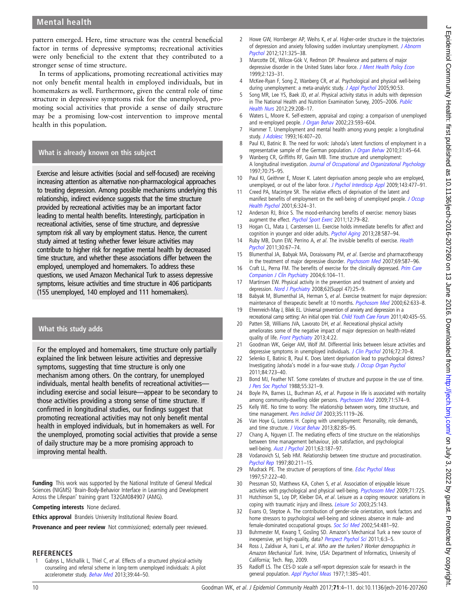<span id="page-6-0"></span>pattern emerged. Here, time structure was the central beneficial factor in terms of depressive symptoms; recreational activities were only beneficial to the extent that they contributed to a stronger sense of time structure.

In terms of applications, promoting recreational activities may not only benefit mental health in employed individuals, but in homemakers as well. Furthermore, given the central role of time structure in depressive symptoms risk for the unemployed, promoting social activities that provide a sense of daily structure may be a promising low-cost intervention to improve mental health in this population.

# What is already known on this subject

Exercise and leisure activities (social and self-focused) are receiving increasing attention as alternative non-pharmacological approaches to treating depression. Among possible mechanisms underlying this relationship, indirect evidence suggests that the time structure provided by recreational activities may be an important factor leading to mental health benefits. Interestingly, participation in recreational activities, sense of time structure, and depressive symptom risk all vary by employment status. Hence, the current study aimed at testing whether fewer leisure activities may contribute to higher risk for negative mental health by decreased time structure, and whether these associations differ between the employed, unemployed and homemakers. To address these questions, we used Amazon Mechanical Turk to assess depressive symptoms, leisure activities and time structure in 406 participants (155 unemployed, 140 employed and 111 homemakers).

# What this study adds

For the employed and homemakers, time structure only partially explained the link between leisure activities and depressive symptoms, suggesting that time structure is only one mechanism among others. On the contrary, for unemployed individuals, mental health benefits of recreational activities including exercise and social leisure—appear to be secondary to those activities providing a strong sense of time structure. If confirmed in longitudinal studies, our findings suggest that promoting recreational activities may not only benefit mental health in employed individuals, but in homemakers as well. For the unemployed, promoting social activities that provide a sense of daily structure may be a more promising approach to improving mental health.

Funding This work was supported by the National Institute of General Medical Sciences (NIGMS) 'Brain-Body-Behavior Interface in Learning and Development Across the Lifespan' training grant T32GM084907 (AMG).

Competing interests None declared.

Ethics approval Brandeis University Institutional Review Board.

Provenance and peer review Not commissioned; externally peer reviewed.

#### REFERENCES

Gabrys L, Michallik L, Thiel C, et al. Effects of a structured physical-activity counseling and referral scheme in long-term unemployed individuals: A pilot accelerometer study. [Behav Med](http://dx.doi.org/10.1080/08964289.2013.782852) 2013;39:44-50.

- 2 Howe GW, Hornberger AP, Weihs K, et al. Higher-order structure in the trajectories of depression and anxiety following sudden involuntary unemployment. [J Abnorm](http://dx.doi.org/10.1037/a0026243) [Psychol](http://dx.doi.org/10.1037/a0026243) 2012;121:325–38.
- 3 Marcotte DE, Wilcox-Gök V, Redmon DP. Prevalence and patterns of major depressive disorder in the United States labor force. [J Ment Health Policy Econ](http://dx.doi.org/10.1002/(SICI)1099-176X(199909)2:3<123::AID-MHP55>3.0.CO;2-8) 1999;2:123–31.
- 4 McKee-Ryan F, Song Z, Wanberg CR, et al. Psychological and physical well-being during unemployment: a meta-analytic study. [J Appl Psychol](http://dx.doi.org/10.1037/0021-9010.90.1.53) 2005;90:53.
- 5 Song MR, Lee YS, Baek JD, et al. Physical activity status in adults with depression in The National Health and Nutrition Examination Survey, 2005–2006. [Public](http://dx.doi.org/10.1111/j.1525-1446.2011.00986.x) [Health Nurs](http://dx.doi.org/10.1111/j.1525-1446.2011.00986.x) 2012;29:208–17.
- 6 Waters L, Moore K. Self-esteem, appraisal and coping: a comparison of unemployed and re-employed people. [J Organ Behav](http://dx.doi.org/10.1002/job.156) 2002;23:593-604.
- 7 Hammer T. Unemployment and mental health among young people: a longitudinal study. [J Adolesc](http://dx.doi.org/10.1006/jado.1993.1033) 1993;16:407-20.
- 8 Paul KI, Batinic B. The need for work: Jahoda's latent functions of employment in a representative sample of the German population. [J Organ Behav](http://dx.doi.org/10.1002/job.622) 2010;31:45-64.
- 9 Wanberg CR, Griffiths RF, Gavin MB. Time structure and unemployment: A longitudinal investigation. [Journal of Occupational and Organizational Psychology](http://dx.doi.org/10.1111/j.2044-8325.1997.tb00632.x) 1997;70:75–95.
- 10 Paul KI, Geithner E, Moser K. Latent deprivation among people who are employed, unemployed, or out of the labor force. [J Psychol Interdiscip Appl](http://dx.doi.org/10.3200/JRL.143.5.477-491) 2009;143:477-91.
- 11 Creed PA, Macintyre SR. The relative effects of deprivation of the latent and manifest benefits of employment on the well-being of unemployed people. [J Occup](http://dx.doi.org/10.1037/1076-8998.6.4.324) [Health Psychol](http://dx.doi.org/10.1037/1076-8998.6.4.324) 2001;6:324–31.
- 12 Anderson RJ, Brice S. The mood-enhancing benefits of exercise: memory biases augment the effect. [Psychol Sport Exerc](http://dx.doi.org/10.1016/j.psychsport.2010.08.003) 2011;12:79-82.
- 13 Hogan CL, Mata J, Carstensen LL. Exercise holds immediate benefits for affect and cognition in younger and older adults. [Psychol Aging](http://dx.doi.org/10.1037/a0032634) 2013;28:587–94.
- 14 Ruby MB, Dunn EW, Perrino A, et al. The invisible benefits of exercise. [Health](http://dx.doi.org/10.1037/a0021859) [Psychol](http://dx.doi.org/10.1037/a0021859) 2011;30:67–74.
- 15 Blumenthal JA, Babyak MA, Doraiswamy PM, et al. Exercise and pharmacotherapy in the treatment of major depressive disorder. *[Psychosom Med](http://dx.doi.org/10.1097/PSY.0b013e318148c19a)* 2007;69:587-96.
- 16 Craft LL, Perna FM. The benefits of exercise for the clinically depressed. [Prim Care](http://dx.doi.org/10.4088/PCC.v06n0301) [Companion J Clin Psychiatry](http://dx.doi.org/10.4088/PCC.v06n0301) 2004;6:104–11.
- 17 Martinsen EW. Physical activity in the prevention and treatment of anxiety and depression. [Nord J Psychiatry](http://dx.doi.org/10.1080/08039480802315640) 2008;62(Suppl 47):25-9.
- 18 Babyak M, Blumenthal JA, Herman S, et al. Exercise treatment for major depression: maintenance of therapeutic benefit at 10 months. [Psychosom Med](http://dx.doi.org/10.1097/00006842-200009000-00006) 2000;62:633-8.
- 19 Ehrenreich-May J, Bilek EL. Universal prevention of anxiety and depression in a recreational camp setting: An initial open trial. [Child Youth Care Forum](http://dx.doi.org/10.1007/s10566-011-9148-4) 2011;40:435-55.
- 20 Patten SB, Williams JVA, Lavorato DH, et al. Recreational physical activity ameliorates some of the negative impact of major depression on health-related quality of life. [Front Psychiatry](http://dx.doi.org/10.3389/fpsyt.2013.00022) 2013;4:22.
- 21 Goodman WK, Geiger AM, Wolf JM. Differential links between leisure activities and depressive symptoms in unemployed individuals. [J Clin Psychol](http://dx.doi.org/10.1002/jclp.22231) 2016;72:70-8.
- 22 Selenko E, Batinic B, Paul K. Does latent deprivation lead to psychological distress? Investigating Jahoda's model in a four-wave study. [J Occup Organ Psychol](http://dx.doi.org/10.1348/096317910X519360) 2011;84:723–40.
- 23 Bond MJ, Feather NT. Some correlates of structure and purpose in the use of time. [J Pers Soc Psychol](http://dx.doi.org/10.1037/0022-3514.55.2.321) 1988;55:321–9.
- 24 Boyle PA, Barnes LL, Buchman AS, et al. Purpose in life is associated with mortality among community-dwelling older persons. [Psychosom Med](http://dx.doi.org/10.1097/PSY.0b013e3181a5a7c0) 2009;71:574–9.
- 25 Kelly WE. No time to worry: The relationship between worry, time structure, and time management. [Pers Individ Dif](http://dx.doi.org/10.1016/S0191-8869(02)00322-7) 2003;35:1119-26.
- 26 Van Hoye G, Lootens H. Coping with unemployment: Personality, role demands, and time structure. [J Vocat Behav](http://dx.doi.org/10.1016/j.jvb.2013.01.004) 2013;82:85-95.
- 27 Chang A, Nguyen LT. The mediating effects of time structure on the relationships between time management behaviour, job satisfaction, and psychological well-being. [Aust J Psychol](http://dx.doi.org/10.1111/j.1742-9536.2011.00008.x) 2011;63:187-97.
- 28 Vodanovich SJ, Seib HM. Relationship between time structure and procrastination. [Psychol Rep](http://dx.doi.org/10.2466/pr0.1997.80.1.211) 1997;80:211–15.
- 29 Mudrack PE. The structure of perceptions of time. *[Educ Psychol Meas](http://dx.doi.org/10.1177/0013164497057002003)* 1997;57:222–40.
- 30 Pressman SD, Matthews KA, Cohen S, et al. Association of enjoyable leisure activities with psychological and physical well-being. [Psychosom Med](http://dx.doi.org/10.1097/PSY.0b013e3181ad7978) 2009;71:725.
- 31 Hutchinson SL, Loy DP, Kleiber DA, et al. Leisure as a coping resource: variations in coping with traumatic injury and illness. [Leisure Sci](http://dx.doi.org/10.1080/01490400306566) 2003;25:143.
- 32 Evans O, Steptoe A. The contribution of gender-role orientation, work factors and home stressors to psychological well-being and sickness absence in male- and female-dominated occupational groups. [Soc Sci Med](http://dx.doi.org/10.1016/S0277-9536(01)00044-2) 2002;54:481-92.
- 33 Buhrmester M, Kwang T, Gosling SD. Amazon's Mechanical Turk a new source of inexpensive, yet high-quality, data? [Perspect Psychol Sci](http://dx.doi.org/10.1177/1745691610393980) 2011;6:3-5.
- 34 Ross J, Zaldivar A, Irani L, et al. Who are the turkers? Worker demographics in Amazon Mechanical Turk. Irvine, USA: Department of Informatics, University of California; Tech. Rep, 2009.
- 35 Radloff LS. The CES-D scale a self-report depression scale for research in the general population. [Appl Psychol Meas](http://dx.doi.org/10.1177/014662167700100306) 1977;1:385–401.